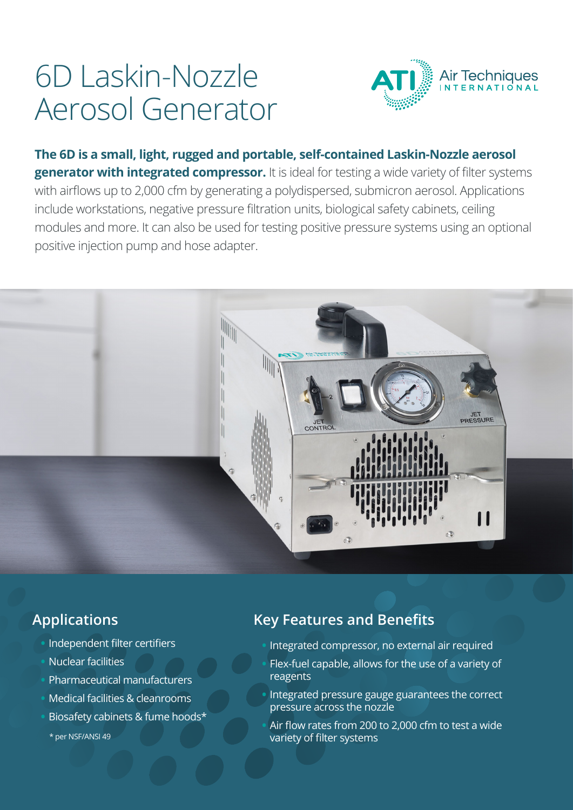# 6D Laskin-Nozzle Aerosol Generator



**The 6D is a small, light, rugged and portable, self-contained Laskin-Nozzle aerosol generator with integrated compressor.** It is ideal for testing a wide variety of filter systems with airflows up to 2,000 cfm by generating a polydispersed, submicron aerosol. Applications include workstations, negative pressure filtration units, biological safety cabinets, ceiling modules and more. It can also be used for testing positive pressure systems using an optional positive injection pump and hose adapter.



## **Applications**

- **•** Independent filter certifiers
- **•** Nuclear facilities
- **•** Pharmaceutical manufacturers
- **•** Medical facilities & cleanrooms
- **•** Biosafety cabinets & fume hoods\*
	- \* per NSF/ANSI 49

## **Key Features and Benefits**

- **•** Integrated compressor, no external air required
- **•** Flex-fuel capable, allows for the use of a variety of reagents
- **•** Integrated pressure gauge guarantees the correct pressure across the nozzle
- **•** Air flow rates from 200 to 2,000 cfm to test a wide variety of filter systems